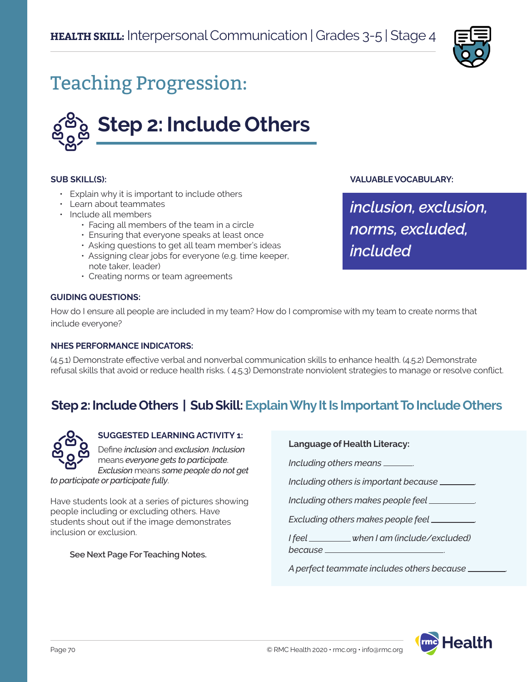

# Teaching Progression:



#### **SUB SKILL(S):**

- Explain why it is important to include others
- Learn about teammates
- Include all members
	- Facing all members of the team in a circle
	- Ensuring that everyone speaks at least once
	- Asking questions to get all team member's ideas
	- Assigning clear jobs for everyone (e.g. time keeper, note taker, leader)
	- Creating norms or team agreements

#### **GUIDING QUESTIONS:**

How do I ensure all people are included in my team? How do I compromise with my team to create norms that include everyone?

#### **NHES PERFORMANCE INDICATORS:**

(4.5.1) Demonstrate effective verbal and nonverbal communication skills to enhance health. (4.5.2) Demonstrate refusal skills that avoid or reduce health risks. ( 4.5.3) Demonstrate nonviolent strategies to manage or resolve conflict.

### **Step 2: Include Others | Sub Skill: Explain Why It Is Important To Include Others**



#### **SUGGESTED LEARNING ACTIVITY 1:**

Define *inclusion* and *exclusion*. *Inclusion*  means *everyone gets to participate*. *Exclusion* means *some people do not get to participate or participate fully*.

Have students look at a series of pictures showing people including or excluding others. Have students shout out if the image demonstrates inclusion or exclusion.

**See Next Page For Teaching Notes.**

#### **Language of Health Literacy:**

*Including others means* .

*Including others is important because* .

*Including others makes people feel* .

*Excluding others makes people feel* .

*I feel when I am (include/excluded) because* .

*A perfect teammate includes others because* .



*inclusion, exclusion, norms, excluded,* 

*included*

**VALUABLE VOCABULARY:**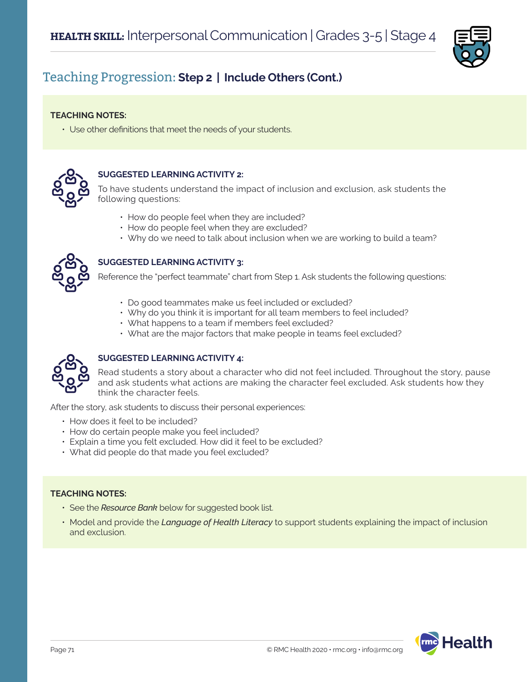

### Teaching Progression: **Step 2 | Include Others (Cont.)**

#### **TEACHING NOTES:**

• Use other definitions that meet the needs of your students.



#### **SUGGESTED LEARNING ACTIVITY 2:**

To have students understand the impact of inclusion and exclusion, ask students the following questions:

- How do people feel when they are included?
- How do people feel when they are excluded?
- Why do we need to talk about inclusion when we are working to build a team?



### **SUGGESTED LEARNING ACTIVITY 3:**

Reference the "perfect teammate" chart from Step 1. Ask students the following questions:

- Do good teammates make us feel included or excluded?
- Why do you think it is important for all team members to feel included?
- What happens to a team if members feel excluded?
- What are the major factors that make people in teams feel excluded?



### **SUGGESTED LEARNING ACTIVITY 4:**

Read students a story about a character who did not feel included. Throughout the story, pause and ask students what actions are making the character feel excluded. Ask students how they think the character feels.

After the story, ask students to discuss their personal experiences:

- How does it feel to be included?
- How do certain people make you feel included?
- Explain a time you felt excluded. How did it feel to be excluded?
- What did people do that made you feel excluded?

#### **TEACHING NOTES:**

- See the *Resource Bank* below for suggested book list.
- Model and provide the *Language of Health Literacy* to support students explaining the impact of inclusion and exclusion.

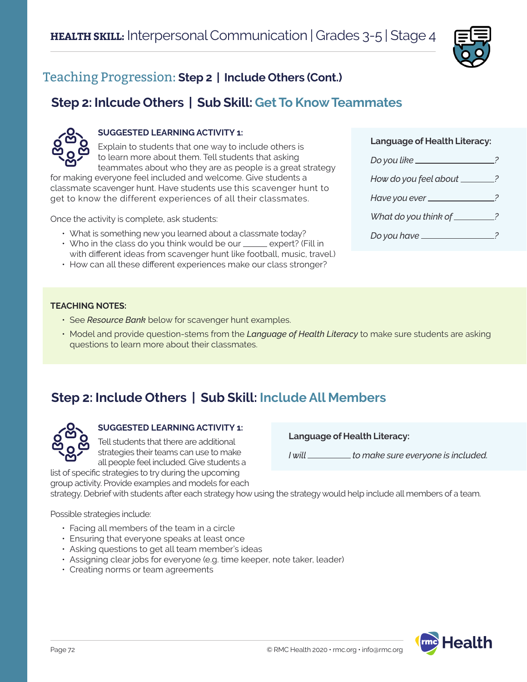

# Teaching Progression: **Step 2 | Include Others (Cont.)**

# **Step 2: Inlcude Others | Sub Skill: Get To Know Teammates**



### **SUGGESTED LEARNING ACTIVITY 1:**

Explain to students that one way to include others is to learn more about them. Tell students that asking teammates about who they are as people is a great strategy

for making everyone feel included and welcome. Give students a classmate scavenger hunt. Have students use this scavenger hunt to get to know the different experiences of all their classmates.

Once the activity is complete, ask students:

- What is something new you learned about a classmate today?
- $\cdot$  Who in the class do you think would be our  $\_\_\_\$ expert? (Fill in with different ideas from scavenger hunt like football, music, travel.)
- How can all these different experiences make our class stronger?

#### **Language of Health Literacy:**

| Do you like                 |   |
|-----------------------------|---|
| How do you feel about _____ |   |
| Have you ever __________    |   |
| What do you think of _____  | 2 |
| Do you have _______         |   |

#### **TEACHING NOTES:**

- See *Resource Bank* below for scavenger hunt examples.
- Model and provide question-stems from the *Language of Health Literacy* to make sure students are asking questions to learn more about their classmates.

# **Step 2: Include Others | Sub Skill: Include All Members**



**SUGGESTED LEARNING ACTIVITY 1:** Tell students that there are additional

strategies their teams can use to make all people feel included. Give students a list of specific strategies to try during the upcoming

**Language of Health Literacy:**

*I* will \_\_\_\_\_\_\_\_\_\_\_ to make sure everyone is included.

strategy. Debrief with students after each strategy how using the strategy would help include all members of a team.

Possible strategies include:

- Facing all members of the team in a circle
- Ensuring that everyone speaks at least once

group activity. Provide examples and models for each

- Asking questions to get all team member's ideas
- Assigning clear jobs for everyone (e.g. time keeper, note taker, leader)
- Creating norms or team agreements